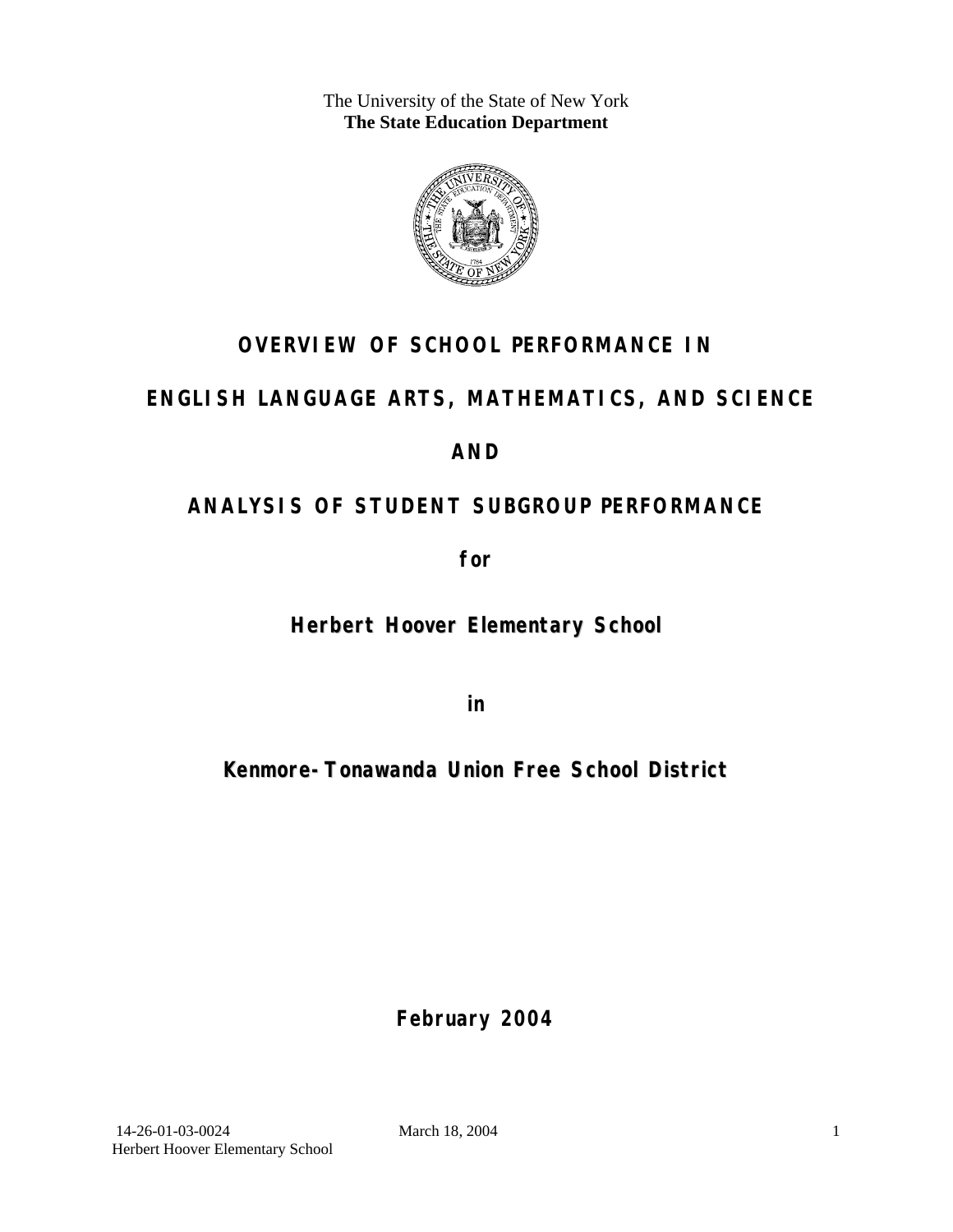The University of the State of New York **The State Education Department** 



## **OVERVIEW OF SCHOOL PERFORMANCE IN**

### **ENGLISH LANGUAGE ARTS, MATHEMATICS, AND SCIENCE**

### **AND**

## **ANALYSIS OF STUDENT SUBGROUP PERFORMANCE**

**for** 

### **Herbert Hoover Elementary School**

**in** 

## **Kenmore-Tonawanda Union Free School District**

**February 2004**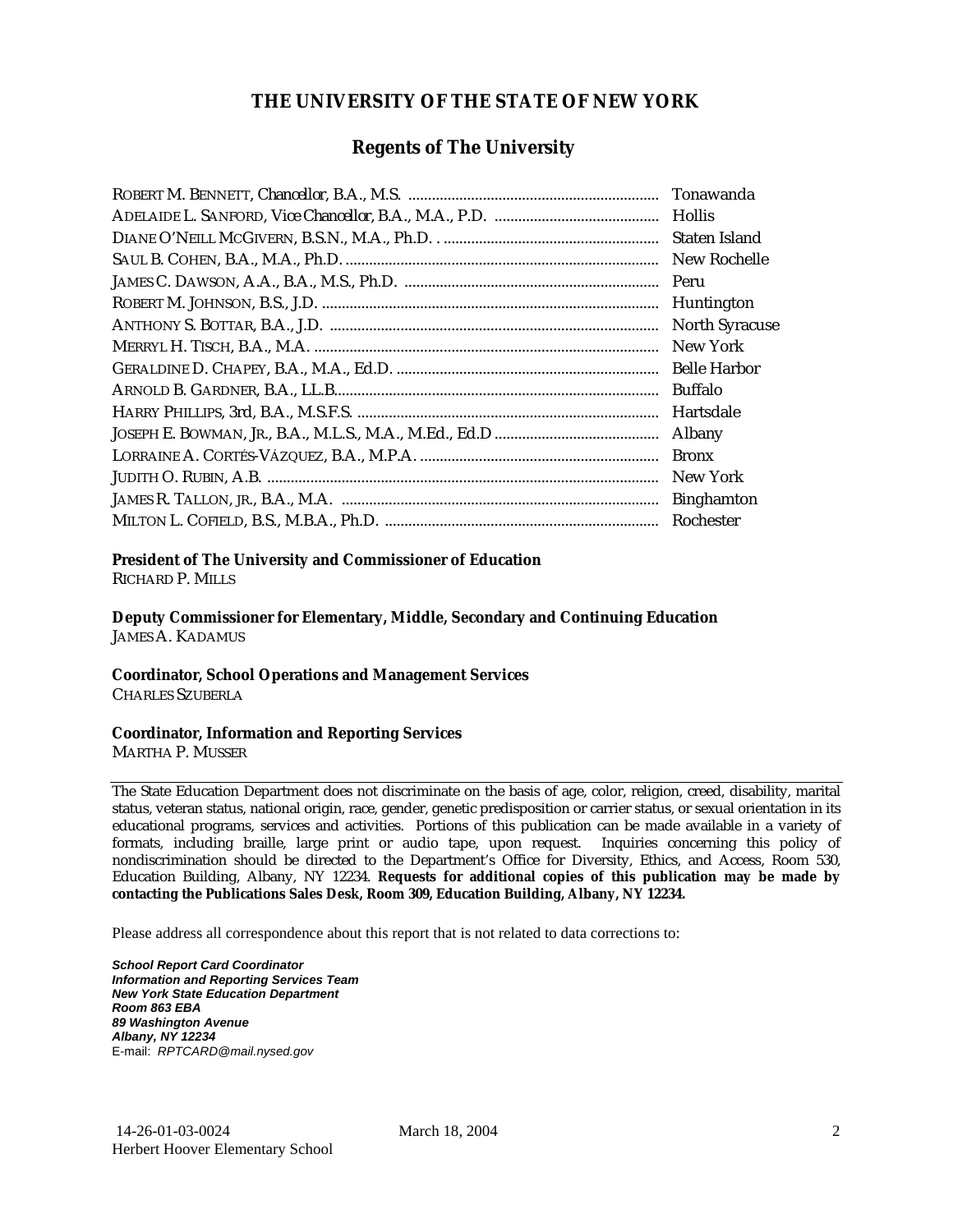### **THE UNIVERSITY OF THE STATE OF NEW YORK**

### **Regents of The University**

| Tonawanda             |
|-----------------------|
| Hollis                |
| Staten Island         |
| New Rochelle          |
| Peru                  |
| Huntington            |
| <b>North Syracuse</b> |
| New York              |
| <b>Belle Harbor</b>   |
| Buffalo               |
| Hartsdale             |
| Albany                |
| <b>Bronx</b>          |
| New York              |
| <b>Binghamton</b>     |
| Rochester             |

#### **President of The University and Commissioner of Education**

RICHARD P. MILLS

**Deputy Commissioner for Elementary, Middle, Secondary and Continuing Education**  JAMES A. KADAMUS

#### **Coordinator, School Operations and Management Services**

CHARLES SZUBERLA

#### **Coordinator, Information and Reporting Services**

MARTHA P. MUSSER

The State Education Department does not discriminate on the basis of age, color, religion, creed, disability, marital status, veteran status, national origin, race, gender, genetic predisposition or carrier status, or sexual orientation in its educational programs, services and activities. Portions of this publication can be made available in a variety of formats, including braille, large print or audio tape, upon request. Inquiries concerning this policy of nondiscrimination should be directed to the Department's Office for Diversity, Ethics, and Access, Room 530, Education Building, Albany, NY 12234. **Requests for additional copies of this publication may be made by contacting the Publications Sales Desk, Room 309, Education Building, Albany, NY 12234.** 

Please address all correspondence about this report that is not related to data corrections to:

*School Report Card Coordinator Information and Reporting Services Team New York State Education Department Room 863 EBA 89 Washington Avenue Albany, NY 12234*  E-mail: *RPTCARD@mail.nysed.gov*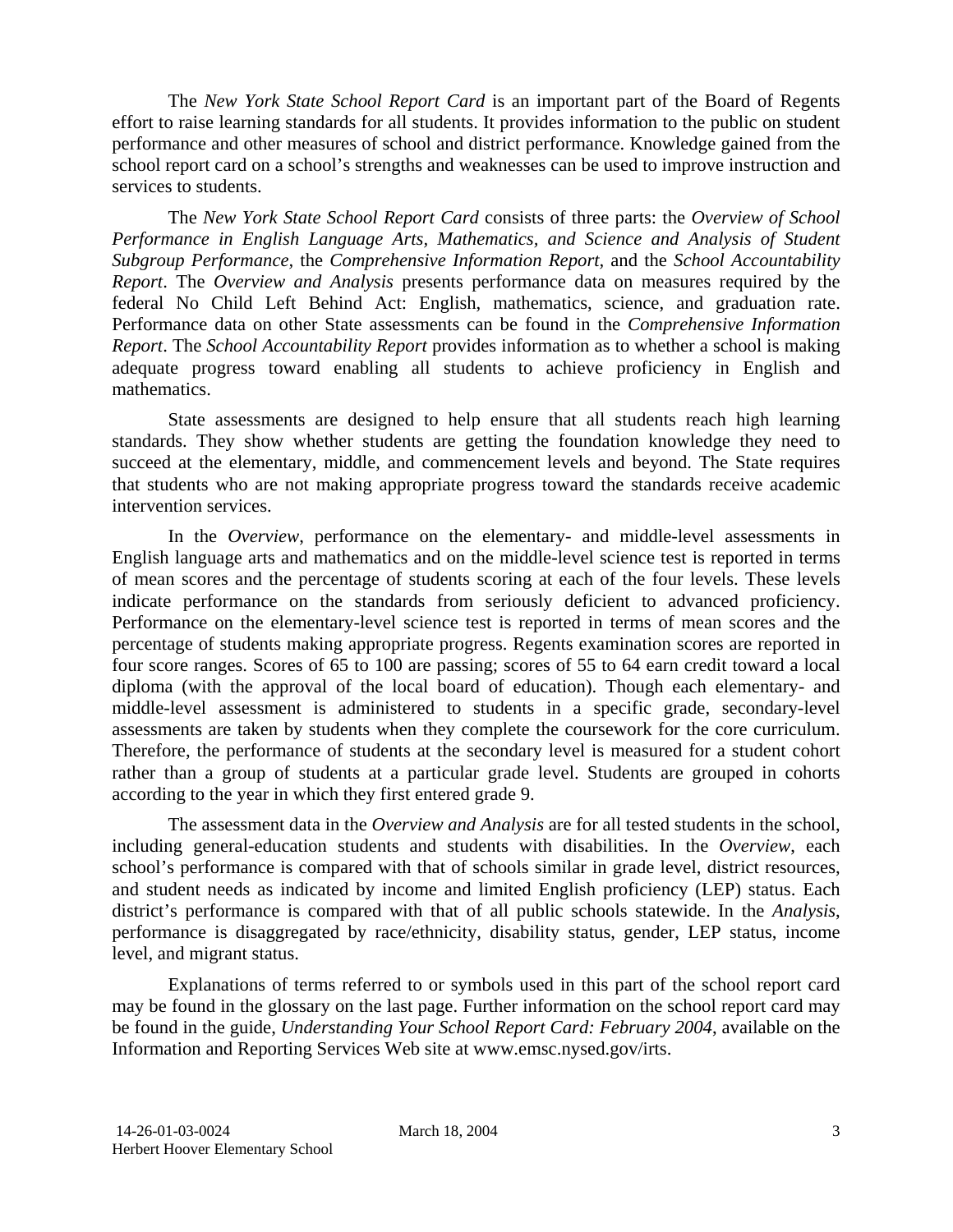The *New York State School Report Card* is an important part of the Board of Regents effort to raise learning standards for all students. It provides information to the public on student performance and other measures of school and district performance. Knowledge gained from the school report card on a school's strengths and weaknesses can be used to improve instruction and services to students.

The *New York State School Report Card* consists of three parts: the *Overview of School Performance in English Language Arts, Mathematics, and Science and Analysis of Student Subgroup Performance,* the *Comprehensive Information Report,* and the *School Accountability Report*. The *Overview and Analysis* presents performance data on measures required by the federal No Child Left Behind Act: English, mathematics, science, and graduation rate. Performance data on other State assessments can be found in the *Comprehensive Information Report*. The *School Accountability Report* provides information as to whether a school is making adequate progress toward enabling all students to achieve proficiency in English and mathematics.

State assessments are designed to help ensure that all students reach high learning standards. They show whether students are getting the foundation knowledge they need to succeed at the elementary, middle, and commencement levels and beyond. The State requires that students who are not making appropriate progress toward the standards receive academic intervention services.

In the *Overview*, performance on the elementary- and middle-level assessments in English language arts and mathematics and on the middle-level science test is reported in terms of mean scores and the percentage of students scoring at each of the four levels. These levels indicate performance on the standards from seriously deficient to advanced proficiency. Performance on the elementary-level science test is reported in terms of mean scores and the percentage of students making appropriate progress. Regents examination scores are reported in four score ranges. Scores of 65 to 100 are passing; scores of 55 to 64 earn credit toward a local diploma (with the approval of the local board of education). Though each elementary- and middle-level assessment is administered to students in a specific grade, secondary-level assessments are taken by students when they complete the coursework for the core curriculum. Therefore, the performance of students at the secondary level is measured for a student cohort rather than a group of students at a particular grade level. Students are grouped in cohorts according to the year in which they first entered grade 9.

The assessment data in the *Overview and Analysis* are for all tested students in the school, including general-education students and students with disabilities. In the *Overview*, each school's performance is compared with that of schools similar in grade level, district resources, and student needs as indicated by income and limited English proficiency (LEP) status. Each district's performance is compared with that of all public schools statewide. In the *Analysis*, performance is disaggregated by race/ethnicity, disability status, gender, LEP status, income level, and migrant status.

Explanations of terms referred to or symbols used in this part of the school report card may be found in the glossary on the last page. Further information on the school report card may be found in the guide, *Understanding Your School Report Card: February 2004*, available on the Information and Reporting Services Web site at www.emsc.nysed.gov/irts.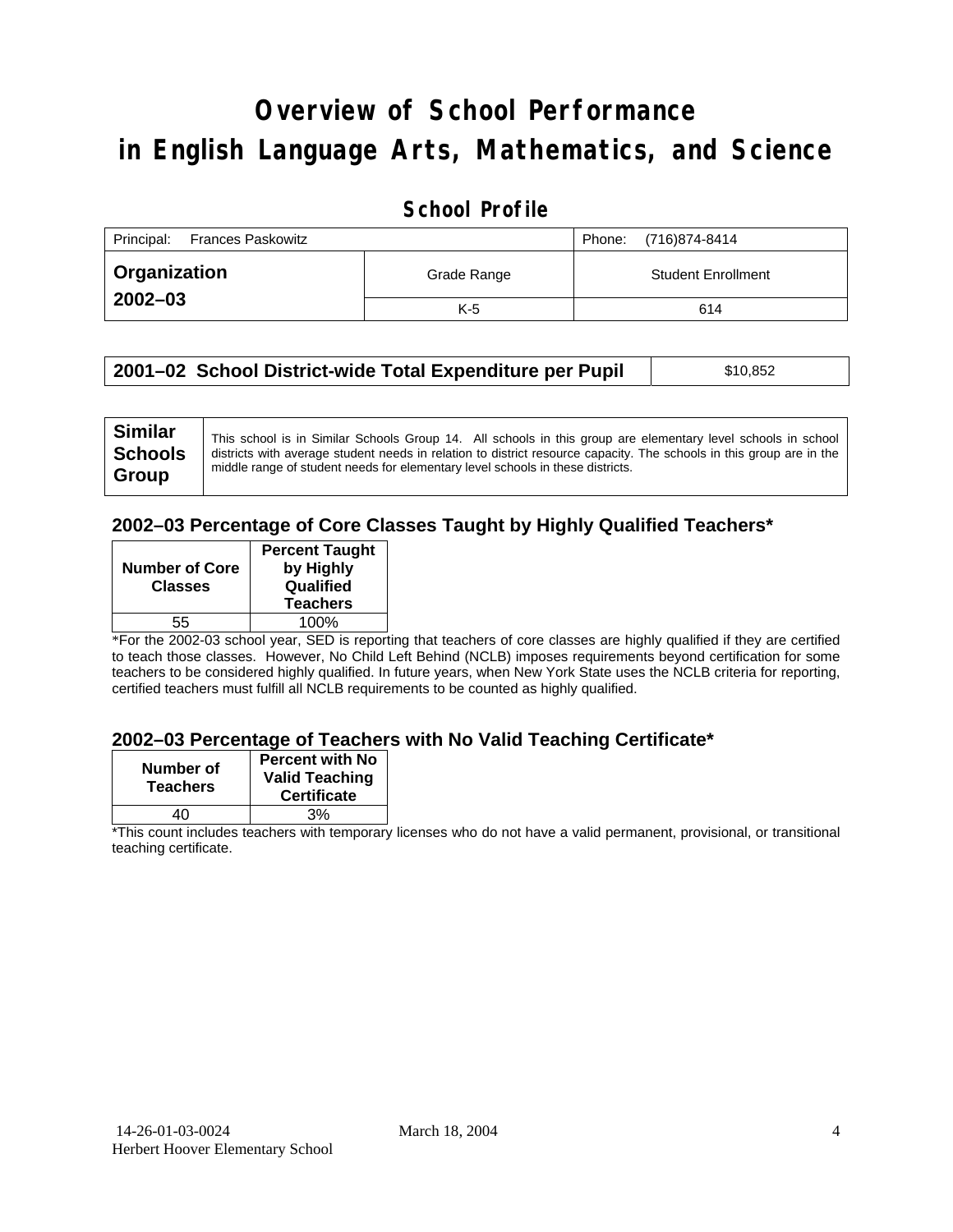# **Overview of School Performance in English Language Arts, Mathematics, and Science**

### **School Profile**

| Principal:<br><b>Frances Paskowitz</b> |             | (716)874-8414<br>Phone:   |
|----------------------------------------|-------------|---------------------------|
| ∣ Organization                         | Grade Range | <b>Student Enrollment</b> |
| $2002 - 03$                            | $K-5$       | 614                       |

| 2001–02 School District-wide Total Expenditure per Pupil | \$10,852 |
|----------------------------------------------------------|----------|
|                                                          |          |

#### **2002–03 Percentage of Core Classes Taught by Highly Qualified Teachers\***

| <b>Number of Core</b><br><b>Classes</b> | <b>Percent Taught</b><br>by Highly<br>Qualified<br><b>Teachers</b> |
|-----------------------------------------|--------------------------------------------------------------------|
| 55                                      | 100%                                                               |
|                                         |                                                                    |

\*For the 2002-03 school year, SED is reporting that teachers of core classes are highly qualified if they are certified to teach those classes. However, No Child Left Behind (NCLB) imposes requirements beyond certification for some teachers to be considered highly qualified. In future years, when New York State uses the NCLB criteria for reporting, certified teachers must fulfill all NCLB requirements to be counted as highly qualified.

#### **2002–03 Percentage of Teachers with No Valid Teaching Certificate\***

| Number of<br><b>Teachers</b> | <b>Percent with No</b><br><b>Valid Teaching</b><br><b>Certificate</b> |
|------------------------------|-----------------------------------------------------------------------|
| 40                           | 3%                                                                    |

\*This count includes teachers with temporary licenses who do not have a valid permanent, provisional, or transitional teaching certificate.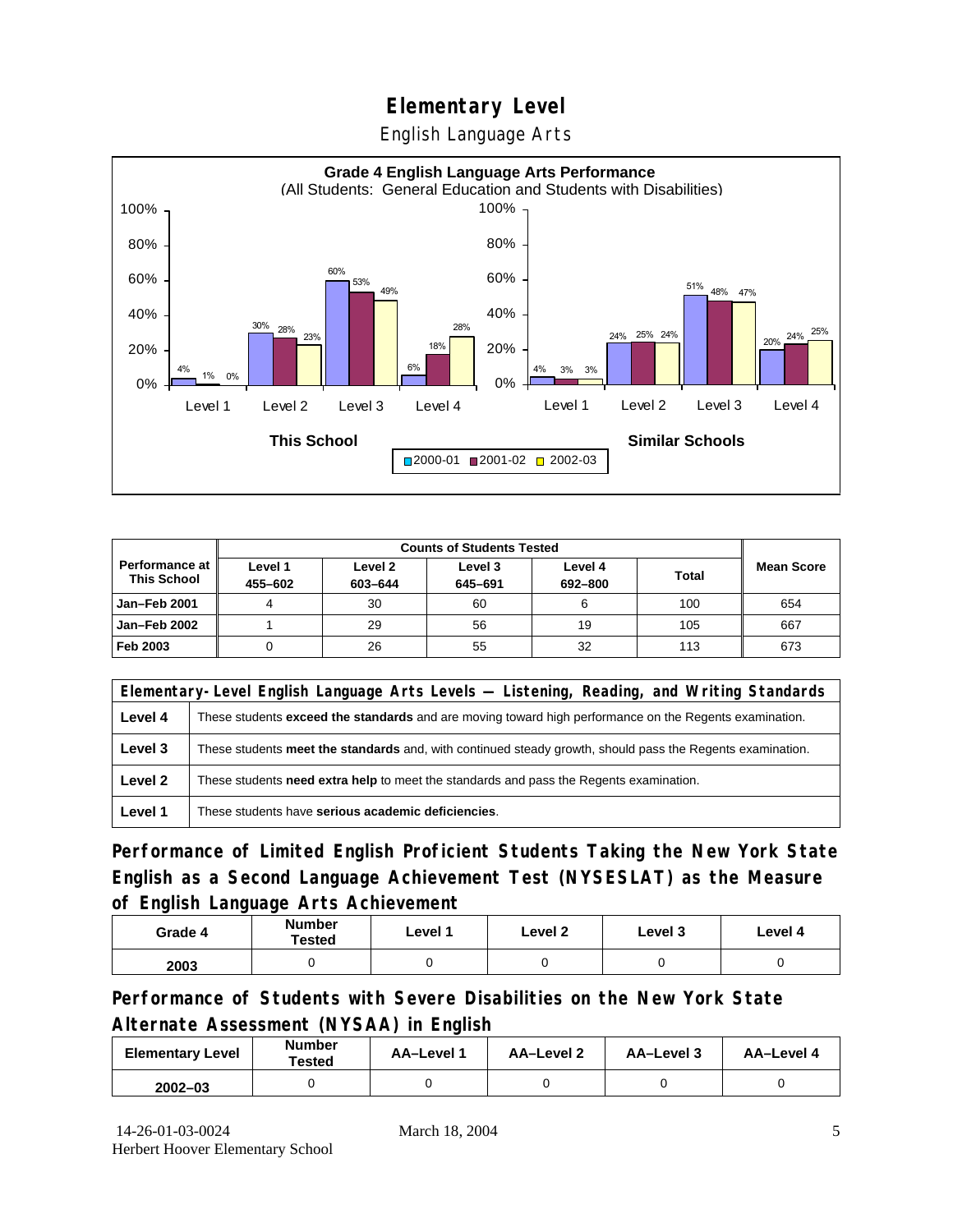English Language Arts



|                                      |                    | <b>Counts of Students Tested</b> |                    |                    |              |                   |
|--------------------------------------|--------------------|----------------------------------|--------------------|--------------------|--------------|-------------------|
| Performance at<br><b>This School</b> | Level 1<br>455-602 | Level 2<br>603-644               | Level 3<br>645-691 | Level 4<br>692-800 | <b>Total</b> | <b>Mean Score</b> |
| Jan-Feb 2001                         |                    | 30                               | 60                 |                    | 100          | 654               |
| Jan-Feb 2002                         |                    | 29                               | 56                 | 19                 | 105          | 667               |
| Feb 2003                             |                    | 26                               | 55                 | 32                 | 113          | 673               |

|         | Elementary-Level English Language Arts Levels — Listening, Reading, and Writing Standards                 |  |  |  |  |
|---------|-----------------------------------------------------------------------------------------------------------|--|--|--|--|
| Level 4 | These students exceed the standards and are moving toward high performance on the Regents examination.    |  |  |  |  |
| Level 3 | These students meet the standards and, with continued steady growth, should pass the Regents examination. |  |  |  |  |
| Level 2 | These students <b>need extra help</b> to meet the standards and pass the Regents examination.             |  |  |  |  |
| Level 1 | These students have serious academic deficiencies.                                                        |  |  |  |  |

**Performance of Limited English Proficient Students Taking the New York State English as a Second Language Achievement Test (NYSESLAT) as the Measure of English Language Arts Achievement**

| Grade 4 | <b>Number</b><br><b>Tested</b> | Level 1 | Level 2 | Level 3 | Level 4 |
|---------|--------------------------------|---------|---------|---------|---------|
| 2003    |                                |         |         |         |         |

**Performance of Students with Severe Disabilities on the New York State Alternate Assessment (NYSAA) in English** 

| <b>Elementary Level</b> | <b>Number</b><br>Tested | AA-Level 1 | AA-Level 2 | AA-Level 3 | AA-Level 4 |
|-------------------------|-------------------------|------------|------------|------------|------------|
| $2002 - 03$             |                         |            |            |            |            |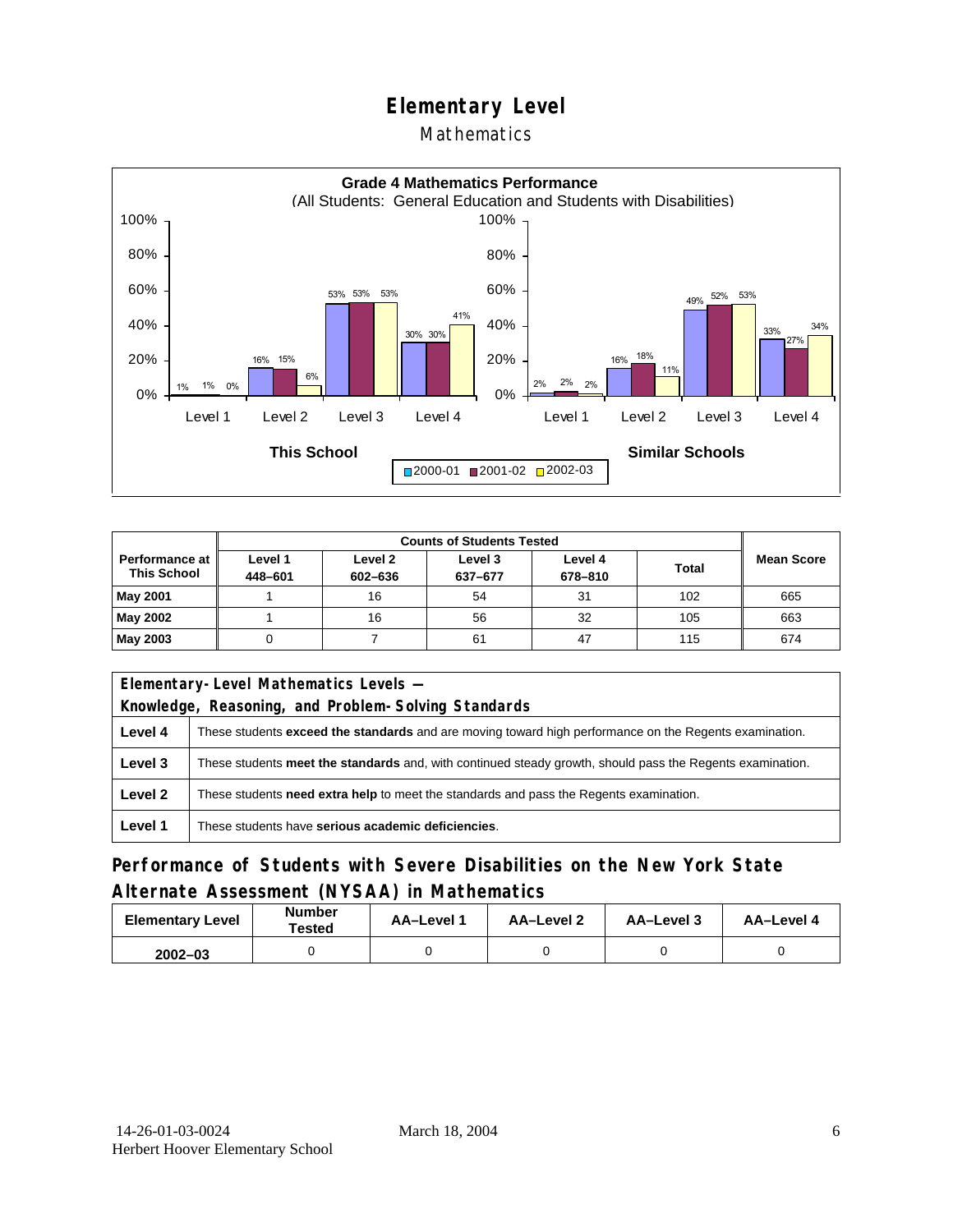### Mathematics



|                                             | <b>Counts of Students Tested</b> |                    |                    |                    |              |                   |
|---------------------------------------------|----------------------------------|--------------------|--------------------|--------------------|--------------|-------------------|
| <b>Performance at</b><br><b>This School</b> | Level 1<br>448-601               | Level 2<br>602-636 | Level 3<br>637-677 | Level 4<br>678-810 | <b>Total</b> | <b>Mean Score</b> |
| <b>May 2001</b>                             |                                  | 16                 | 54                 | 31                 | 102          | 665               |
| May 2002                                    |                                  | 16                 | 56                 | 32                 | 105          | 663               |
| May 2003                                    |                                  |                    | 61                 | 47                 | 115          | 674               |

|                                                                                                   | Elementary-Level Mathematics Levels -                                                                         |  |  |  |
|---------------------------------------------------------------------------------------------------|---------------------------------------------------------------------------------------------------------------|--|--|--|
|                                                                                                   | Knowledge, Reasoning, and Problem-Solving Standards                                                           |  |  |  |
| Level 4                                                                                           | These students <b>exceed the standards</b> and are moving toward high performance on the Regents examination. |  |  |  |
| Level 3                                                                                           | These students meet the standards and, with continued steady growth, should pass the Regents examination.     |  |  |  |
| Level 2<br>These students need extra help to meet the standards and pass the Regents examination. |                                                                                                               |  |  |  |
| Level 1                                                                                           | These students have serious academic deficiencies.                                                            |  |  |  |

### **Performance of Students with Severe Disabilities on the New York State Alternate Assessment (NYSAA) in Mathematics**

| <b>Elementary Level</b> | <b>Number</b><br>Tested | AA-Level 1 | AA-Level 2 | AA-Level 3 | AA-Level 4 |  |
|-------------------------|-------------------------|------------|------------|------------|------------|--|
| $2002 - 03$             |                         |            |            |            |            |  |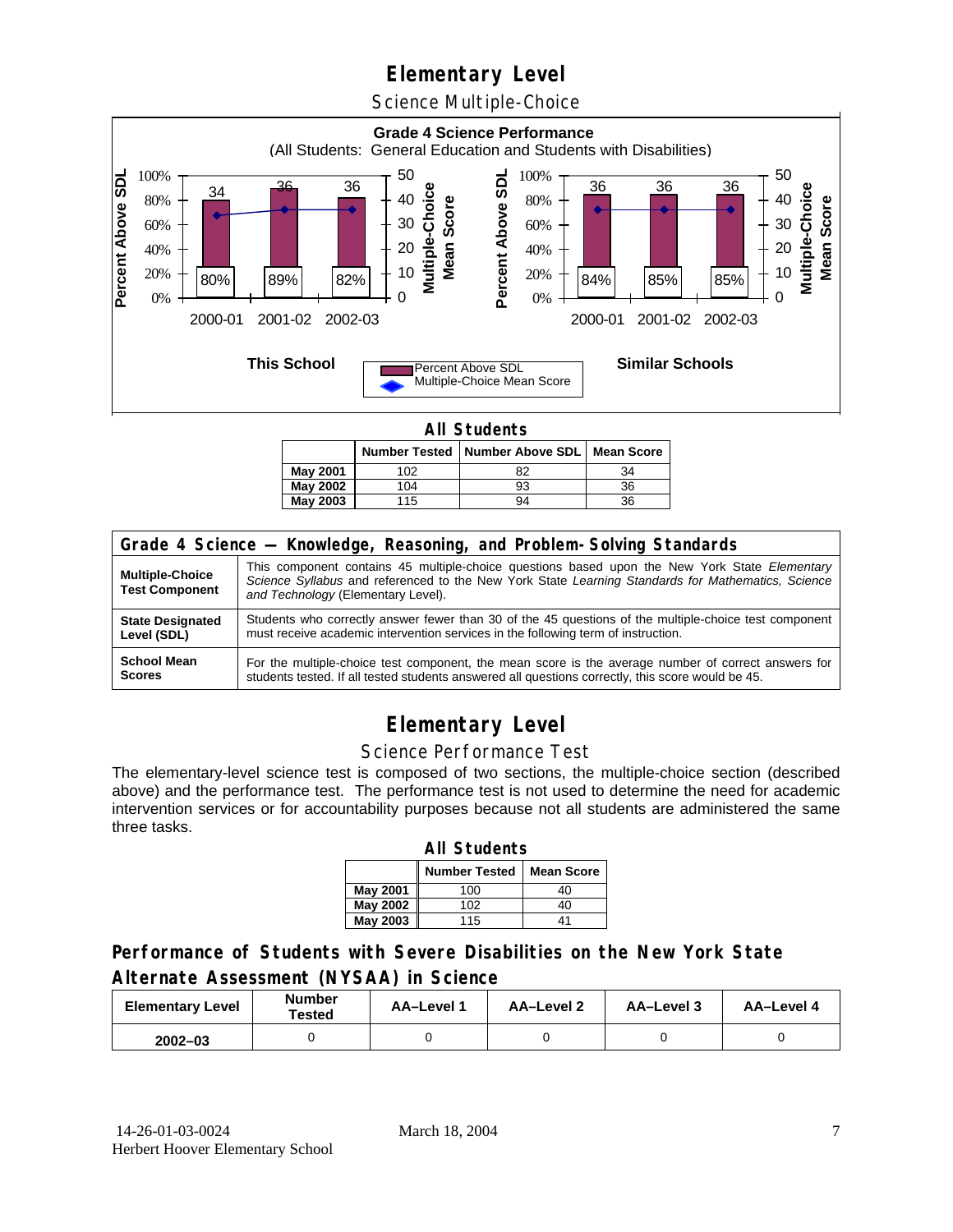Science Multiple-Choice



**All Students** 

|                 | Number Tested   Number Above SDL   Mean Score |    |    |  |
|-----------------|-----------------------------------------------|----|----|--|
| May 2001        | 102                                           | 82 | 34 |  |
| May 2002        | 104                                           | 93 | 36 |  |
| <b>May 2003</b> | 115                                           | 94 | 36 |  |

| Grade 4 Science - Knowledge, Reasoning, and Problem-Solving Standards |                                                                                                                                                                                                                                          |  |  |  |  |  |
|-----------------------------------------------------------------------|------------------------------------------------------------------------------------------------------------------------------------------------------------------------------------------------------------------------------------------|--|--|--|--|--|
| <b>Multiple-Choice</b><br><b>Test Component</b>                       | This component contains 45 multiple-choice questions based upon the New York State Elementary<br>Science Syllabus and referenced to the New York State Learning Standards for Mathematics, Science<br>and Technology (Elementary Level). |  |  |  |  |  |
| <b>State Designated</b>                                               | Students who correctly answer fewer than 30 of the 45 questions of the multiple-choice test component                                                                                                                                    |  |  |  |  |  |
| Level (SDL)                                                           | must receive academic intervention services in the following term of instruction.                                                                                                                                                        |  |  |  |  |  |
| <b>School Mean</b>                                                    | For the multiple-choice test component, the mean score is the average number of correct answers for                                                                                                                                      |  |  |  |  |  |
| <b>Scores</b>                                                         | students tested. If all tested students answered all questions correctly, this score would be 45.                                                                                                                                        |  |  |  |  |  |

## **Elementary Level**

#### Science Performance Test

The elementary-level science test is composed of two sections, the multiple-choice section (described above) and the performance test. The performance test is not used to determine the need for academic intervention services or for accountability purposes because not all students are administered the same three tasks.

| <b>All Students</b>                       |     |    |  |  |  |  |  |  |  |
|-------------------------------------------|-----|----|--|--|--|--|--|--|--|
| <b>Number Tested</b><br><b>Mean Score</b> |     |    |  |  |  |  |  |  |  |
| May 2001                                  | 100 | 40 |  |  |  |  |  |  |  |
| <b>May 2002</b>                           | 102 | 40 |  |  |  |  |  |  |  |
| <b>May 2003</b>                           | 115 | 11 |  |  |  |  |  |  |  |

### **Performance of Students with Severe Disabilities on the New York State Alternate Assessment (NYSAA) in Science**

| <b>Elementary Level</b> | <b>Number</b><br>Tested | AA-Level 1 | <b>AA-Level 2</b> | AA-Level 3 | AA-Level 4 |  |
|-------------------------|-------------------------|------------|-------------------|------------|------------|--|
| $2002 - 03$             |                         |            |                   |            |            |  |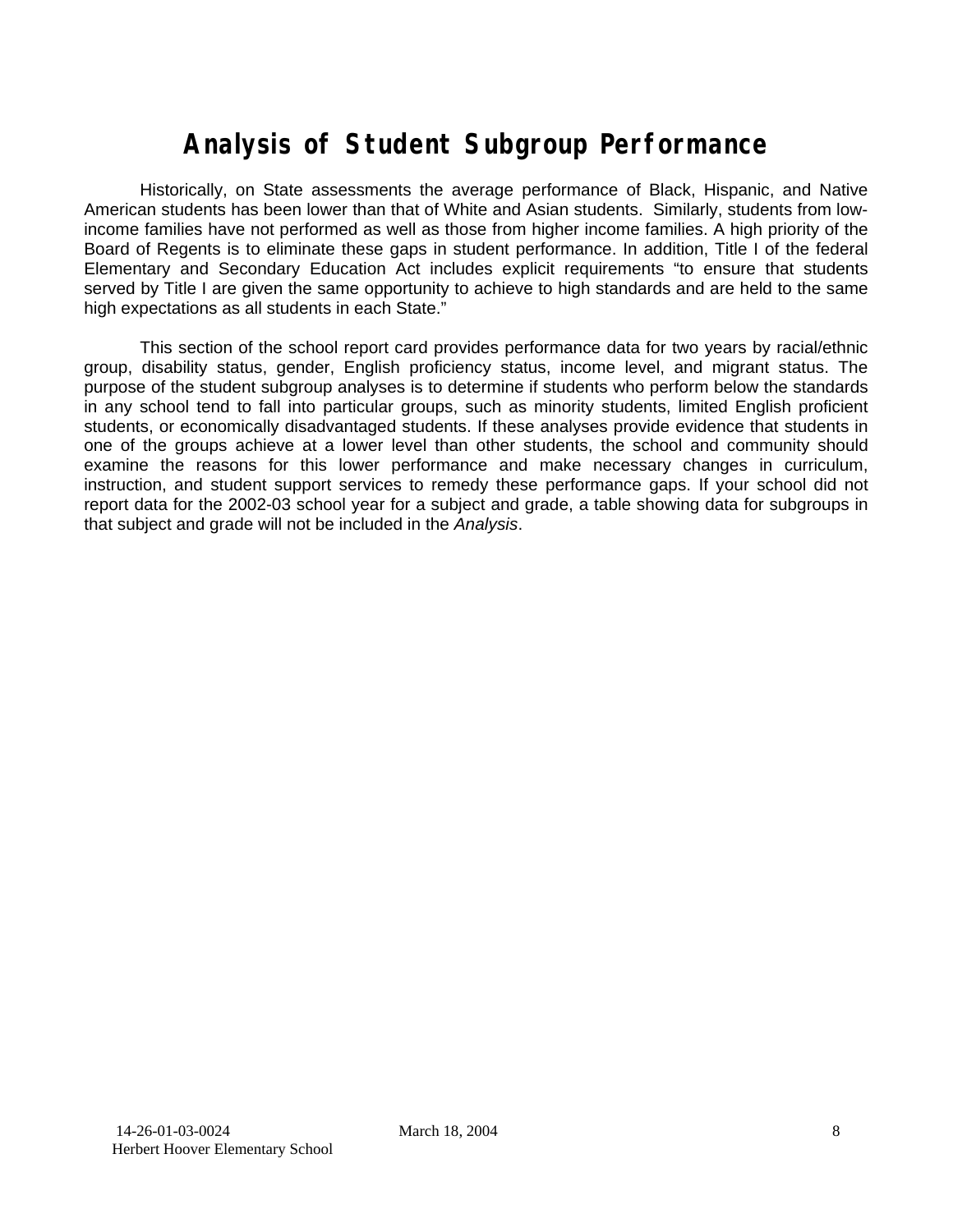# **Analysis of Student Subgroup Performance**

Historically, on State assessments the average performance of Black, Hispanic, and Native American students has been lower than that of White and Asian students. Similarly, students from lowincome families have not performed as well as those from higher income families. A high priority of the Board of Regents is to eliminate these gaps in student performance. In addition, Title I of the federal Elementary and Secondary Education Act includes explicit requirements "to ensure that students served by Title I are given the same opportunity to achieve to high standards and are held to the same high expectations as all students in each State."

This section of the school report card provides performance data for two years by racial/ethnic group, disability status, gender, English proficiency status, income level, and migrant status. The purpose of the student subgroup analyses is to determine if students who perform below the standards in any school tend to fall into particular groups, such as minority students, limited English proficient students, or economically disadvantaged students. If these analyses provide evidence that students in one of the groups achieve at a lower level than other students, the school and community should examine the reasons for this lower performance and make necessary changes in curriculum, instruction, and student support services to remedy these performance gaps. If your school did not report data for the 2002-03 school year for a subject and grade, a table showing data for subgroups in that subject and grade will not be included in the *Analysis*.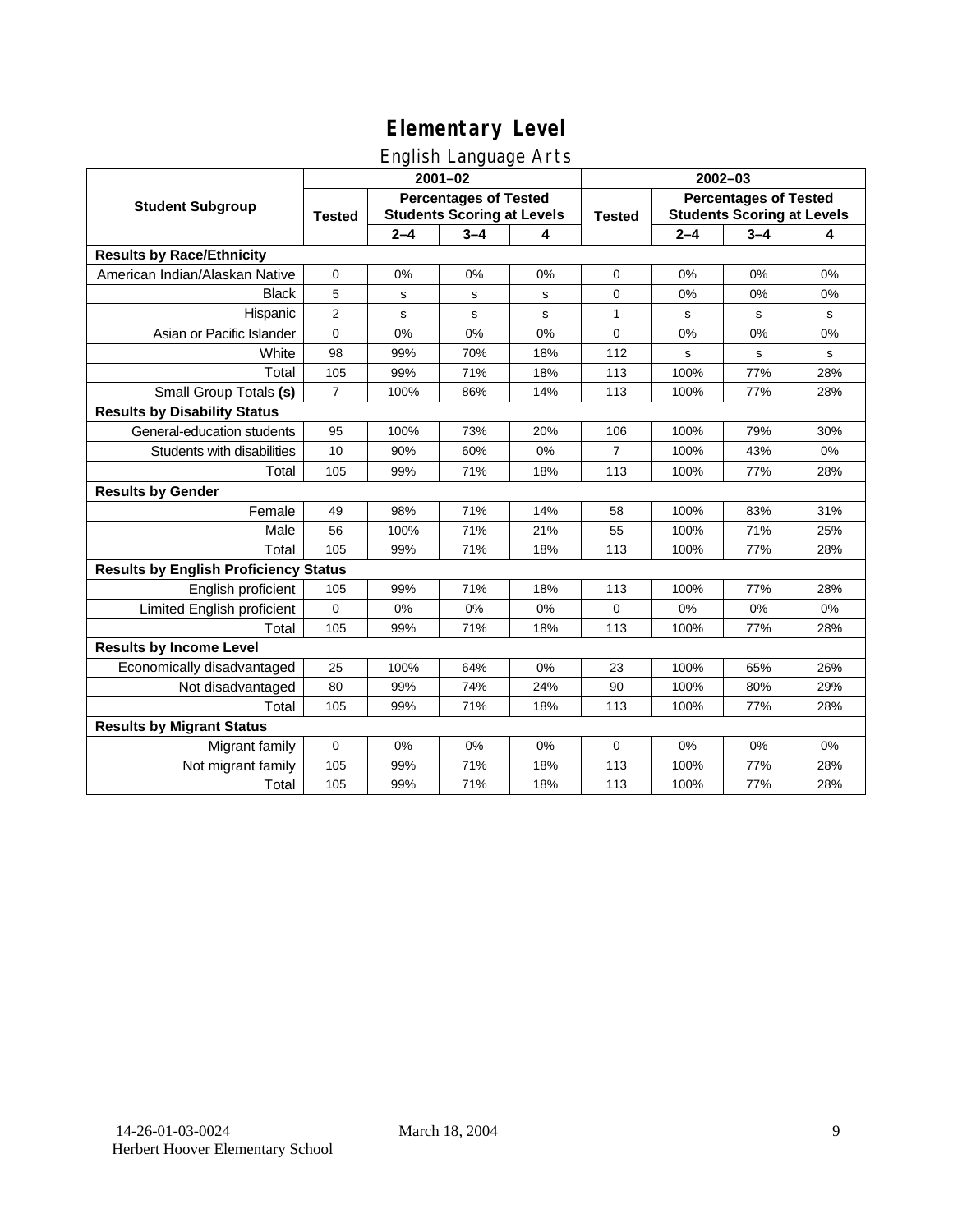### English Language Arts

|                                              | ◡<br>$2001 - 02$                                                                   |         |             |               | 2002-03                                                           |             |             |       |
|----------------------------------------------|------------------------------------------------------------------------------------|---------|-------------|---------------|-------------------------------------------------------------------|-------------|-------------|-------|
| <b>Student Subgroup</b>                      | <b>Percentages of Tested</b><br><b>Students Scoring at Levels</b><br><b>Tested</b> |         |             | <b>Tested</b> | <b>Percentages of Tested</b><br><b>Students Scoring at Levels</b> |             |             |       |
|                                              |                                                                                    | $2 - 4$ | $3 - 4$     | 4             |                                                                   | $2 - 4$     | $3 - 4$     | 4     |
| <b>Results by Race/Ethnicity</b>             |                                                                                    |         |             |               |                                                                   |             |             |       |
| American Indian/Alaskan Native               | 0                                                                                  | 0%      | 0%          | 0%            | $\mathbf 0$                                                       | 0%          | 0%          | 0%    |
| <b>Black</b>                                 | 5                                                                                  | s       | $\mathbf s$ | s             | $\mathbf 0$                                                       | 0%          | 0%          | 0%    |
| Hispanic                                     | $\overline{2}$                                                                     | s       | $\mathbf s$ | s             | 1                                                                 | s           | s           | s     |
| Asian or Pacific Islander                    | 0                                                                                  | 0%      | 0%          | 0%            | $\mathbf 0$                                                       | 0%          | 0%          | $0\%$ |
| White                                        | 98                                                                                 | 99%     | 70%         | 18%           | 112                                                               | $\mathbf s$ | $\mathbf s$ | s     |
| Total                                        | 105                                                                                | 99%     | 71%         | 18%           | 113                                                               | 100%        | 77%         | 28%   |
| Small Group Totals (s)                       | $\overline{7}$                                                                     | 100%    | 86%         | 14%           | 113                                                               | 100%        | 77%         | 28%   |
| <b>Results by Disability Status</b>          |                                                                                    |         |             |               |                                                                   |             |             |       |
| General-education students                   | 95                                                                                 | 100%    | 73%         | 20%           | 106                                                               | 100%        | 79%         | 30%   |
| Students with disabilities                   | 10                                                                                 | 90%     | 60%         | 0%            | $\overline{7}$                                                    | 100%        | 43%         | 0%    |
| Total                                        | 105                                                                                | 99%     | 71%         | 18%           | 113                                                               | 100%        | 77%         | 28%   |
| <b>Results by Gender</b>                     |                                                                                    |         |             |               |                                                                   |             |             |       |
| Female                                       | 49                                                                                 | 98%     | 71%         | 14%           | 58                                                                | 100%        | 83%         | 31%   |
| Male                                         | 56                                                                                 | 100%    | 71%         | 21%           | 55                                                                | 100%        | 71%         | 25%   |
| Total                                        | 105                                                                                | 99%     | 71%         | 18%           | 113                                                               | 100%        | 77%         | 28%   |
| <b>Results by English Proficiency Status</b> |                                                                                    |         |             |               |                                                                   |             |             |       |
| English proficient                           | 105                                                                                | 99%     | 71%         | 18%           | 113                                                               | 100%        | 77%         | 28%   |
| Limited English proficient                   | 0                                                                                  | 0%      | 0%          | 0%            | $\Omega$                                                          | 0%          | 0%          | 0%    |
| Total                                        | 105                                                                                | 99%     | 71%         | 18%           | 113                                                               | 100%        | 77%         | 28%   |
| <b>Results by Income Level</b>               |                                                                                    |         |             |               |                                                                   |             |             |       |
| Economically disadvantaged                   | 25                                                                                 | 100%    | 64%         | 0%            | 23                                                                | 100%        | 65%         | 26%   |
| Not disadvantaged                            | 80                                                                                 | 99%     | 74%         | 24%           | 90                                                                | 100%        | 80%         | 29%   |
| Total                                        | 105                                                                                | 99%     | 71%         | 18%           | 113                                                               | 100%        | 77%         | 28%   |
| <b>Results by Migrant Status</b>             |                                                                                    |         |             |               |                                                                   |             |             |       |
| Migrant family                               | $\mathbf 0$                                                                        | 0%      | 0%          | 0%            | $\mathbf 0$                                                       | 0%          | 0%          | 0%    |
| Not migrant family                           | 105                                                                                | 99%     | 71%         | 18%           | 113                                                               | 100%        | 77%         | 28%   |
| Total                                        | 105                                                                                | 99%     | 71%         | 18%           | 113                                                               | 100%        | 77%         | 28%   |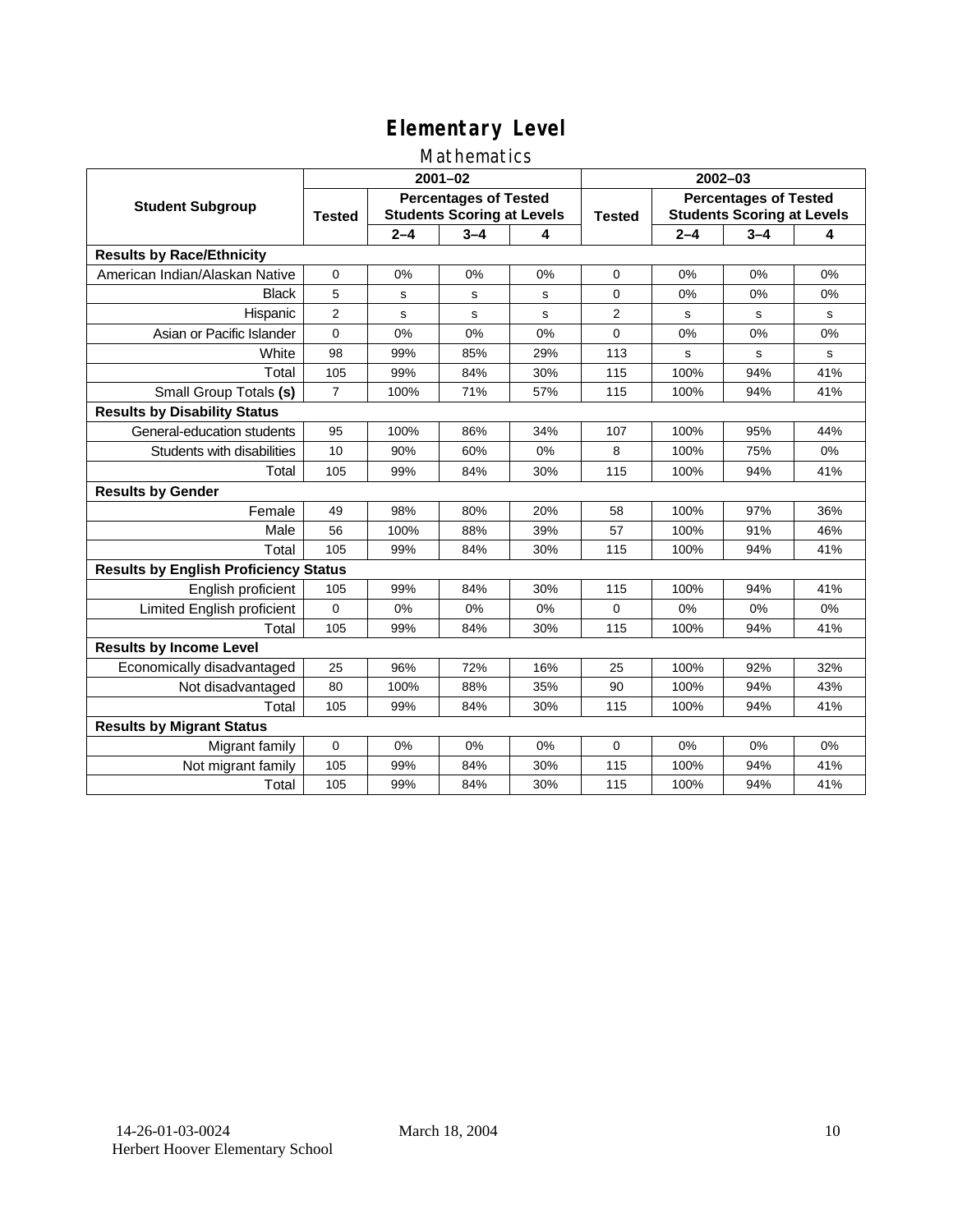### Mathematics

|                                              | $2001 - 02$                                                                        |         |         |               | $2002 - 03$                                                       |         |         |             |
|----------------------------------------------|------------------------------------------------------------------------------------|---------|---------|---------------|-------------------------------------------------------------------|---------|---------|-------------|
| <b>Student Subgroup</b>                      | <b>Percentages of Tested</b><br><b>Students Scoring at Levels</b><br><b>Tested</b> |         |         | <b>Tested</b> | <b>Percentages of Tested</b><br><b>Students Scoring at Levels</b> |         |         |             |
|                                              |                                                                                    | $2 - 4$ | $3 - 4$ | 4             |                                                                   | $2 - 4$ | $3 - 4$ | 4           |
| <b>Results by Race/Ethnicity</b>             |                                                                                    |         |         |               |                                                                   |         |         |             |
| American Indian/Alaskan Native               | $\mathbf{0}$                                                                       | 0%      | 0%      | 0%            | $\Omega$                                                          | 0%      | 0%      | 0%          |
| <b>Black</b>                                 | 5                                                                                  | s       | s       | s             | $\mathbf 0$                                                       | 0%      | 0%      | 0%          |
| Hispanic                                     | 2                                                                                  | s       | s       | s             | 2                                                                 | s       | s       | s           |
| Asian or Pacific Islander                    | $\mathbf 0$                                                                        | 0%      | 0%      | 0%            | 0                                                                 | 0%      | 0%      | 0%          |
| White                                        | 98                                                                                 | 99%     | 85%     | 29%           | 113                                                               | s       | s       | $\mathbf s$ |
| Total                                        | 105                                                                                | 99%     | 84%     | 30%           | 115                                                               | 100%    | 94%     | 41%         |
| Small Group Totals (s)                       | $\overline{7}$                                                                     | 100%    | 71%     | 57%           | 115                                                               | 100%    | 94%     | 41%         |
| <b>Results by Disability Status</b>          |                                                                                    |         |         |               |                                                                   |         |         |             |
| General-education students                   | 95                                                                                 | 100%    | 86%     | 34%           | 107                                                               | 100%    | 95%     | 44%         |
| Students with disabilities                   | 10                                                                                 | 90%     | 60%     | 0%            | 8                                                                 | 100%    | 75%     | 0%          |
| Total                                        | 105                                                                                | 99%     | 84%     | 30%           | 115                                                               | 100%    | 94%     | 41%         |
| <b>Results by Gender</b>                     |                                                                                    |         |         |               |                                                                   |         |         |             |
| Female                                       | 49                                                                                 | 98%     | 80%     | 20%           | 58                                                                | 100%    | 97%     | 36%         |
| Male                                         | 56                                                                                 | 100%    | 88%     | 39%           | 57                                                                | 100%    | 91%     | 46%         |
| Total                                        | 105                                                                                | 99%     | 84%     | 30%           | 115                                                               | 100%    | 94%     | 41%         |
| <b>Results by English Proficiency Status</b> |                                                                                    |         |         |               |                                                                   |         |         |             |
| English proficient                           | 105                                                                                | 99%     | 84%     | 30%           | 115                                                               | 100%    | 94%     | 41%         |
| Limited English proficient                   | $\Omega$                                                                           | 0%      | 0%      | 0%            | $\Omega$                                                          | 0%      | 0%      | 0%          |
| Total                                        | 105                                                                                | 99%     | 84%     | 30%           | 115                                                               | 100%    | 94%     | 41%         |
| <b>Results by Income Level</b>               |                                                                                    |         |         |               |                                                                   |         |         |             |
| Economically disadvantaged                   | 25                                                                                 | 96%     | 72%     | 16%           | 25                                                                | 100%    | 92%     | 32%         |
| Not disadvantaged                            | 80                                                                                 | 100%    | 88%     | 35%           | 90                                                                | 100%    | 94%     | 43%         |
| Total                                        | 105                                                                                | 99%     | 84%     | 30%           | 115                                                               | 100%    | 94%     | 41%         |
| <b>Results by Migrant Status</b>             |                                                                                    |         |         |               |                                                                   |         |         |             |
| Migrant family                               | 0                                                                                  | 0%      | 0%      | 0%            | $\Omega$                                                          | 0%      | 0%      | 0%          |
| Not migrant family                           | 105                                                                                | 99%     | 84%     | 30%           | 115                                                               | 100%    | 94%     | 41%         |
| Total                                        | 105                                                                                | 99%     | 84%     | 30%           | 115                                                               | 100%    | 94%     | 41%         |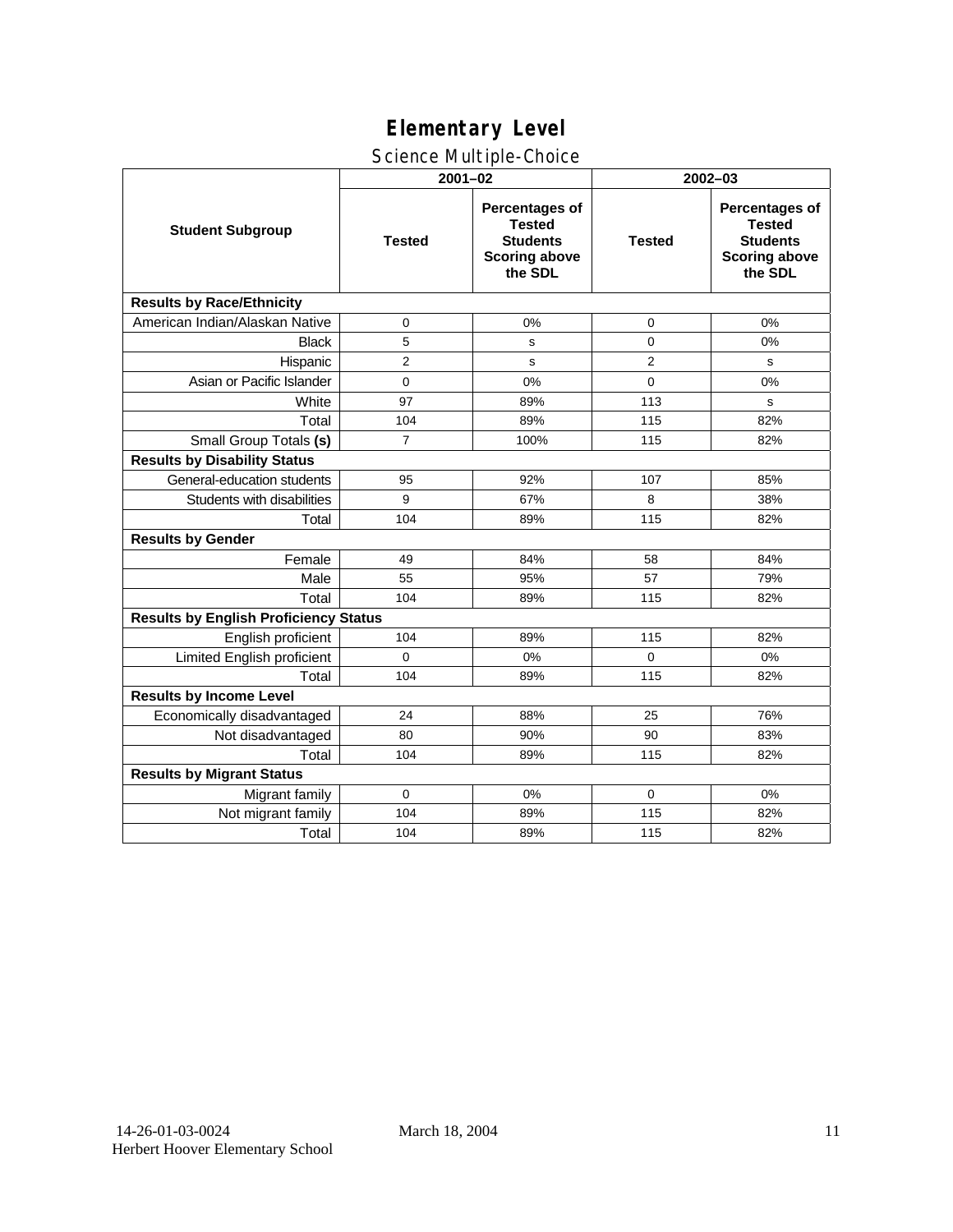### Science Multiple-Choice

|                                              | $2001 - 02$    |                                                                                       | 2002-03        |                                                                                              |  |  |  |
|----------------------------------------------|----------------|---------------------------------------------------------------------------------------|----------------|----------------------------------------------------------------------------------------------|--|--|--|
| <b>Student Subgroup</b>                      | <b>Tested</b>  | Percentages of<br><b>Tested</b><br><b>Students</b><br><b>Scoring above</b><br>the SDL | <b>Tested</b>  | <b>Percentages of</b><br><b>Tested</b><br><b>Students</b><br><b>Scoring above</b><br>the SDL |  |  |  |
| <b>Results by Race/Ethnicity</b>             |                |                                                                                       |                |                                                                                              |  |  |  |
| American Indian/Alaskan Native               | 0              | 0%                                                                                    | $\mathbf 0$    | 0%                                                                                           |  |  |  |
| <b>Black</b>                                 | 5              | s                                                                                     | $\Omega$       | 0%                                                                                           |  |  |  |
| Hispanic                                     | $\overline{2}$ | s                                                                                     | $\overline{2}$ | s                                                                                            |  |  |  |
| Asian or Pacific Islander                    | $\Omega$       | 0%                                                                                    | $\Omega$       | 0%                                                                                           |  |  |  |
| White                                        | 97             | 89%                                                                                   | 113            | s                                                                                            |  |  |  |
| Total                                        | 104            | 89%                                                                                   | 115            | 82%                                                                                          |  |  |  |
| Small Group Totals (s)                       | $\overline{7}$ | 100%                                                                                  | 115            | 82%                                                                                          |  |  |  |
| <b>Results by Disability Status</b>          |                |                                                                                       |                |                                                                                              |  |  |  |
| General-education students                   | 95             | 92%                                                                                   | 107            | 85%                                                                                          |  |  |  |
| Students with disabilities                   | 9              | 67%                                                                                   | 8              | 38%                                                                                          |  |  |  |
| Total                                        | 104            | 89%                                                                                   | 115            | 82%                                                                                          |  |  |  |
| <b>Results by Gender</b>                     |                |                                                                                       |                |                                                                                              |  |  |  |
| Female                                       | 49             | 84%                                                                                   | 58             | 84%                                                                                          |  |  |  |
| Male                                         | 55             | 95%                                                                                   | 57             | 79%                                                                                          |  |  |  |
| Total                                        | 104            | 89%                                                                                   | 115            | 82%                                                                                          |  |  |  |
| <b>Results by English Proficiency Status</b> |                |                                                                                       |                |                                                                                              |  |  |  |
| English proficient                           | 104            | 89%                                                                                   | 115            | 82%                                                                                          |  |  |  |
| Limited English proficient                   | $\mathbf 0$    | 0%                                                                                    | $\mathbf 0$    | 0%                                                                                           |  |  |  |
| Total                                        | 104            | 89%                                                                                   | 115            | 82%                                                                                          |  |  |  |
| <b>Results by Income Level</b>               |                |                                                                                       |                |                                                                                              |  |  |  |
| Economically disadvantaged                   | 24             | 88%                                                                                   | 25             | 76%                                                                                          |  |  |  |
| Not disadvantaged                            | 80             | 90%                                                                                   | 90             | 83%                                                                                          |  |  |  |
| Total                                        | 104            | 89%                                                                                   | 115            | 82%                                                                                          |  |  |  |
| <b>Results by Migrant Status</b>             |                |                                                                                       |                |                                                                                              |  |  |  |
| Migrant family                               | $\Omega$       | 0%                                                                                    | $\Omega$       | 0%                                                                                           |  |  |  |
| Not migrant family                           | 104            | 89%                                                                                   | 115            | 82%                                                                                          |  |  |  |
| Total                                        | 104            | 89%                                                                                   | 115            | 82%                                                                                          |  |  |  |